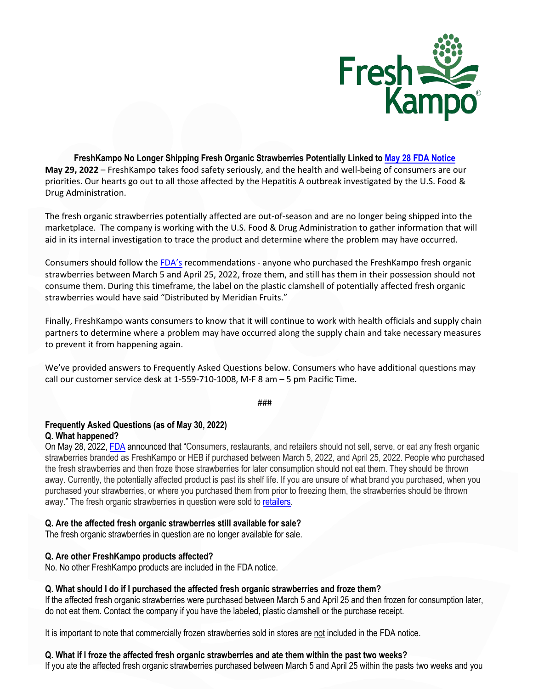

**FreshKampo No Longer Shipping Fresh Organic Strawberries Potentially Linked to [May 28 FDA Notice](https://www.fda.gov/food/outbreaks-foodborne-illness/outbreak-investigation-hepatitis-virus-strawberries-may-2022) May 29, 2022** – FreshKampo takes food safety seriously, and the health and well-being of consumers are our priorities. Our hearts go out to all those affected by the Hepatitis A outbreak investigated by the U.S. Food & Drug Administration.

The fresh organic strawberries potentially affected are out-of-season and are no longer being shipped into the marketplace. The company is working with the U.S. Food & Drug Administration to gather information that will aid in its internal investigation to trace the product and determine where the problem may have occurred.

Consumers should follow th[e FDA's](https://www.fda.gov/food/outbreaks-foodborne-illness/outbreak-investigation-hepatitis-virus-strawberries-may-2022) recommendations - anyone who purchased the FreshKampo fresh organic strawberries between March 5 and April 25, 2022, froze them, and still has them in their possession should not consume them. During this timeframe, the label on the plastic clamshell of potentially affected fresh organic strawberries would have said "Distributed by Meridian Fruits."

Finally, FreshKampo wants consumers to know that it will continue to work with health officials and supply chain partners to determine where a problem may have occurred along the supply chain and take necessary measures to prevent it from happening again.

We've provided answers to Frequently Asked Questions below. Consumers who have additional questions may call our customer service desk at 1-559-710-1008, M-F 8 am – 5 pm Pacific Time.

###

### **Frequently Asked Questions (as of May 30, 2022) Q. What happened?**

On May 28, 2022, [FDA](https://www.fda.gov/food/outbreaks-foodborne-illness/outbreak-investigation-hepatitis-virus-strawberries-may-2022) announced that "Consumers, restaurants, and retailers should not sell, serve, or eat any fresh organic strawberries branded as FreshKampo or HEB if purchased between March 5, 2022, and April 25, 2022. People who purchased the fresh strawberries and then froze those strawberries for later consumption should not eat them. They should be thrown away. Currently, the potentially affected product is past its shelf life. If you are unsure of what brand you purchased, when you purchased your strawberries, or where you purchased them from prior to freezing them, the strawberries should be thrown away." The fresh organic strawberries in question were sold t[o retailers.](https://www.fda.gov/food/outbreaks-foodborne-illness/outbreak-investigation-hepatitis-virus-strawberries-may-2022)

# **Q. Are the affected fresh organic strawberries still available for sale?**

The fresh organic strawberries in question are no longer available for sale.

# **Q. Are other FreshKampo products affected?**

No. No other FreshKampo products are included in the FDA notice.

# **Q. What should I do if I purchased the affected fresh organic strawberries and froze them?**

If the affected fresh organic strawberries were purchased between March 5 and April 25 and then frozen for consumption later, do not eat them. Contact the company if you have the labeled, plastic clamshell or the purchase receipt.

It is important to note that commercially frozen strawberries sold in stores are not included in the FDA notice.

# **Q. What if I froze the affected fresh organic strawberries and ate them within the past two weeks?**

If you ate the affected fresh organic strawberries purchased between March 5 and April 25 within the pasts two weeks and you